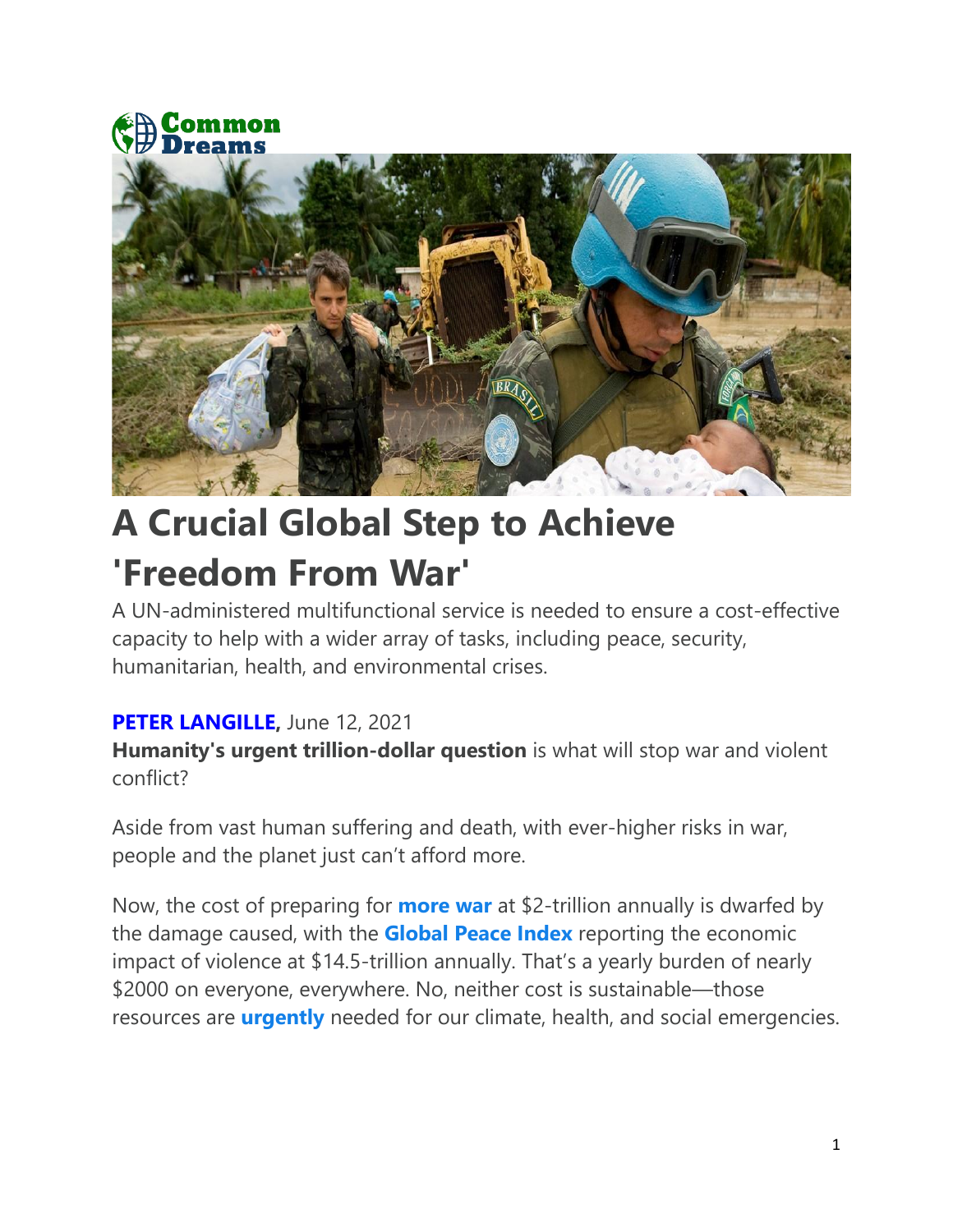



# **A Crucial Global Step to Achieve 'Freedom From War'**

A UN-administered multifunctional service is needed to ensure a cost-effective capacity to help with a wider array of tasks, including peace, security, humanitarian, health, and environmental crises.

### **[PETER LANGILLE,](https://www.commondreams.org/author/peter-langille)** June 12, 2021

**Humanity's urgent trillion-dollar question** is what will stop war and violent conflict?

Aside from vast human suffering and death, with ever-higher risks in war, people and the planet just can't afford more.

Now, the cost of preparing for **[more war](https://www.sipri.org/media/press-release/2021/world-military-spending-rises-almost-2-trillion-2020)** at \$2-trillion annually is dwarfed by the damage caused, with the **[Global Peace Index](https://www.visionofhumanity.org/wp-content/uploads/2020/10/GPI_2020_Briefing_Web.pdf)** reporting the economic impact of violence at \$14.5-trillion annually. That's a yearly burden of nearly \$2000 on everyone, everywhere. No, neither cost is sustainable—those resources are **[urgently](https://news.harvard.edu/gazette/story/2019/10/urgency-of-climate-change-may-be-understated-in-intergovernmental-panel-report/)** needed for our climate, health, and social emergencies.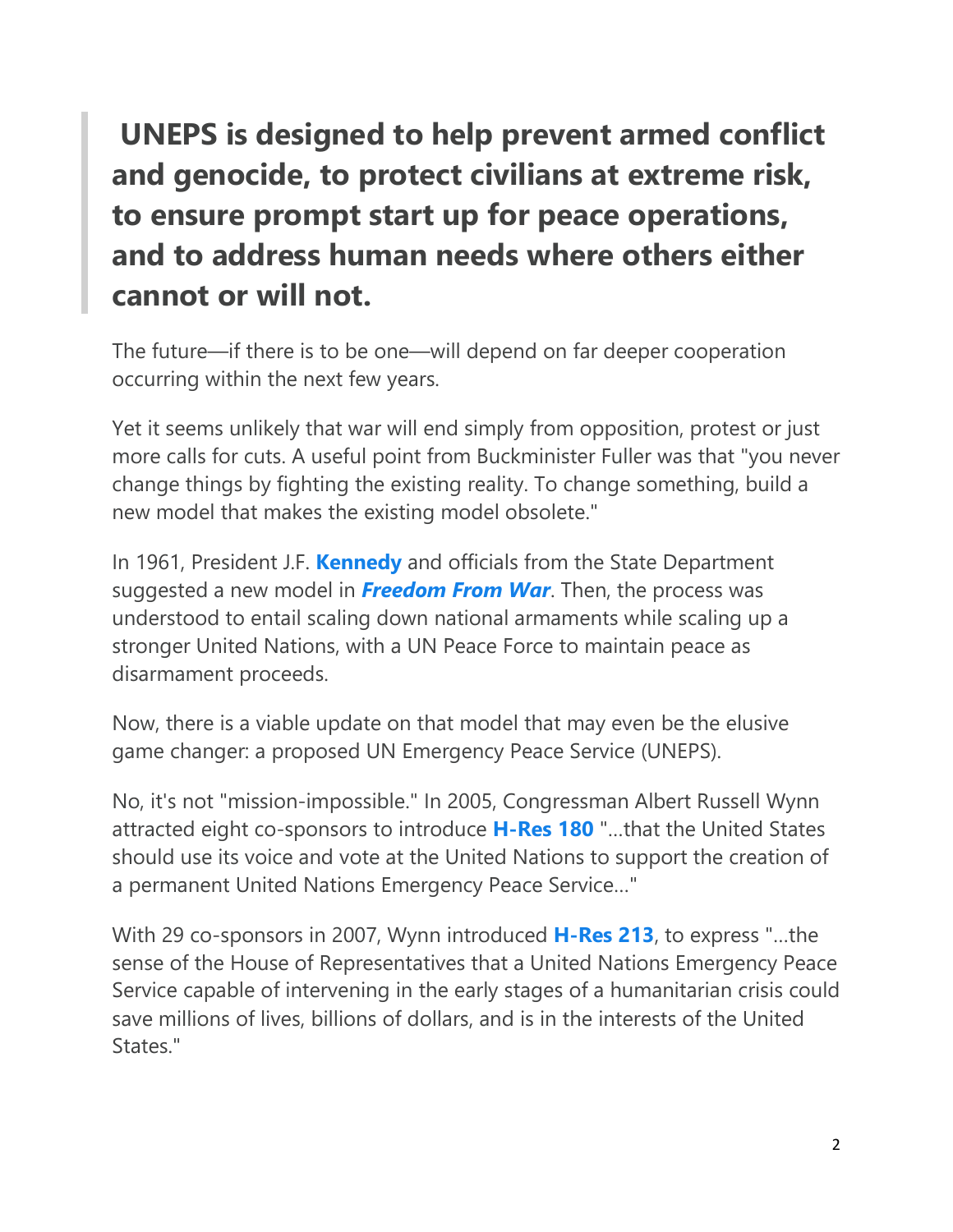## **UNEPS is designed to help prevent armed conflict and genocide, to protect civilians at extreme risk, to ensure prompt start up for peace operations, and to address human needs where others either cannot or will not.**

The future—if there is to be one—will depend on far deeper cooperation occurring within the next few years.

Yet it seems unlikely that war will end simply from opposition, protest or just more calls for cuts. A useful point from Buckminister Fuller was that "you never change things by fighting the existing reality. To change something, build a new model that makes the existing model obsolete."

In 1961, President J.F. **[Kennedy](https://2009-2017.state.gov/p/io/potusunga/207241.htm)** and officials from the State Department suggested a new model in *[Freedom From War](https://archive.org/details/FreedomFromWar/page/n5/mode/2up)*. Then, the process was understood to entail scaling down national armaments while scaling up a stronger United Nations, with a UN Peace Force to maintain peace as disarmament proceeds.

Now, there is a viable update on that model that may even be the elusive game changer: a proposed UN Emergency Peace Service (UNEPS).

No, it's not "mission-impossible." In 2005, Congressman Albert Russell Wynn attracted eight co-sponsors to introduce **[H-Res 180](https://www.govinfo.gov/app/details/BILLS-109hres180ih)** "…that the United States should use its voice and vote at the United Nations to support the creation of a permanent United Nations Emergency Peace Service…"

With 29 co-sponsors in 2007, Wynn introduced **[H-Res 213](https://www.congress.gov/bill/110th-congress/house-resolution/213/all-info)**, to express "…the sense of the House of Representatives that a United Nations Emergency Peace Service capable of intervening in the early stages of a humanitarian crisis could save millions of lives, billions of dollars, and is in the interests of the United States."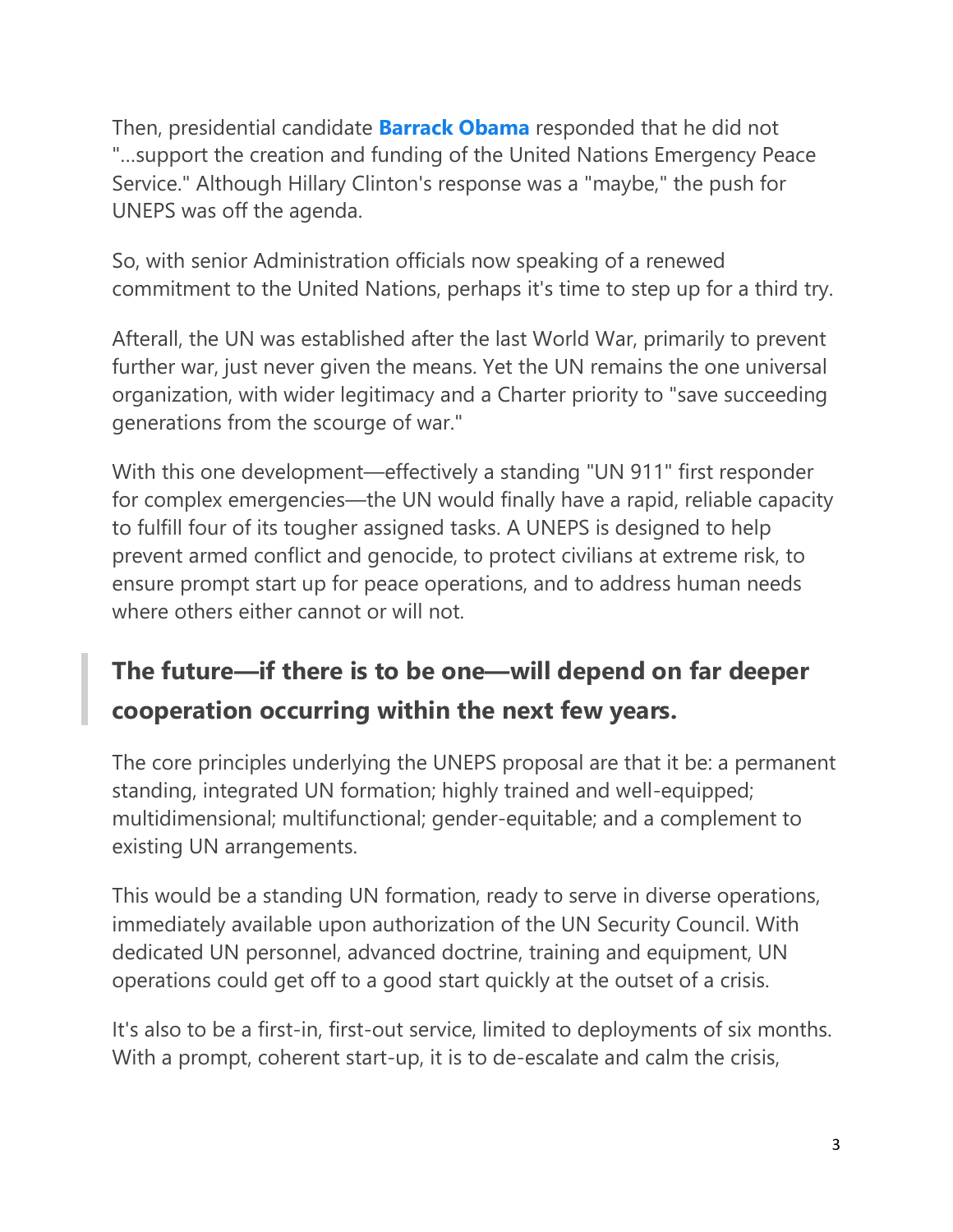Then, presidential candidate **[Barrack Obama](https://fpif.org/global_cooperation_the_candidates_speak/)** responded that he did not "…support the creation and funding of the United Nations Emergency Peace Service." Although Hillary Clinton's response was a "maybe," the push for UNEPS was off the agenda.

So, with senior Administration officials now speaking of a renewed commitment to the United Nations, perhaps it's time to step up for a third try.

Afterall, the UN was established after the last World War, primarily to prevent further war, just never given the means. Yet the UN remains the one universal organization, with wider legitimacy and a Charter priority to "save succeeding generations from the scourge of war."

With this one development—effectively a standing "UN 911" first responder for complex emergencies—the UN would finally have a rapid, reliable capacity to fulfill four of its tougher assigned tasks. A UNEPS is designed to help prevent armed conflict and genocide, to protect civilians at extreme risk, to ensure prompt start up for peace operations, and to address human needs where others either cannot or will not.

### **The future—if there is to be one—will depend on far deeper cooperation occurring within the next few years.**

The core principles underlying the UNEPS proposal are that it be: a permanent standing, integrated UN formation; highly trained and well-equipped; multidimensional; multifunctional; gender-equitable; and a complement to existing UN arrangements.

This would be a standing UN formation, ready to serve in diverse operations, immediately available upon authorization of the UN Security Council. With dedicated UN personnel, advanced doctrine, training and equipment, UN operations could get off to a good start quickly at the outset of a crisis.

It's also to be a first-in, first-out service, limited to deployments of six months. With a prompt, coherent start-up, it is to de-escalate and calm the crisis,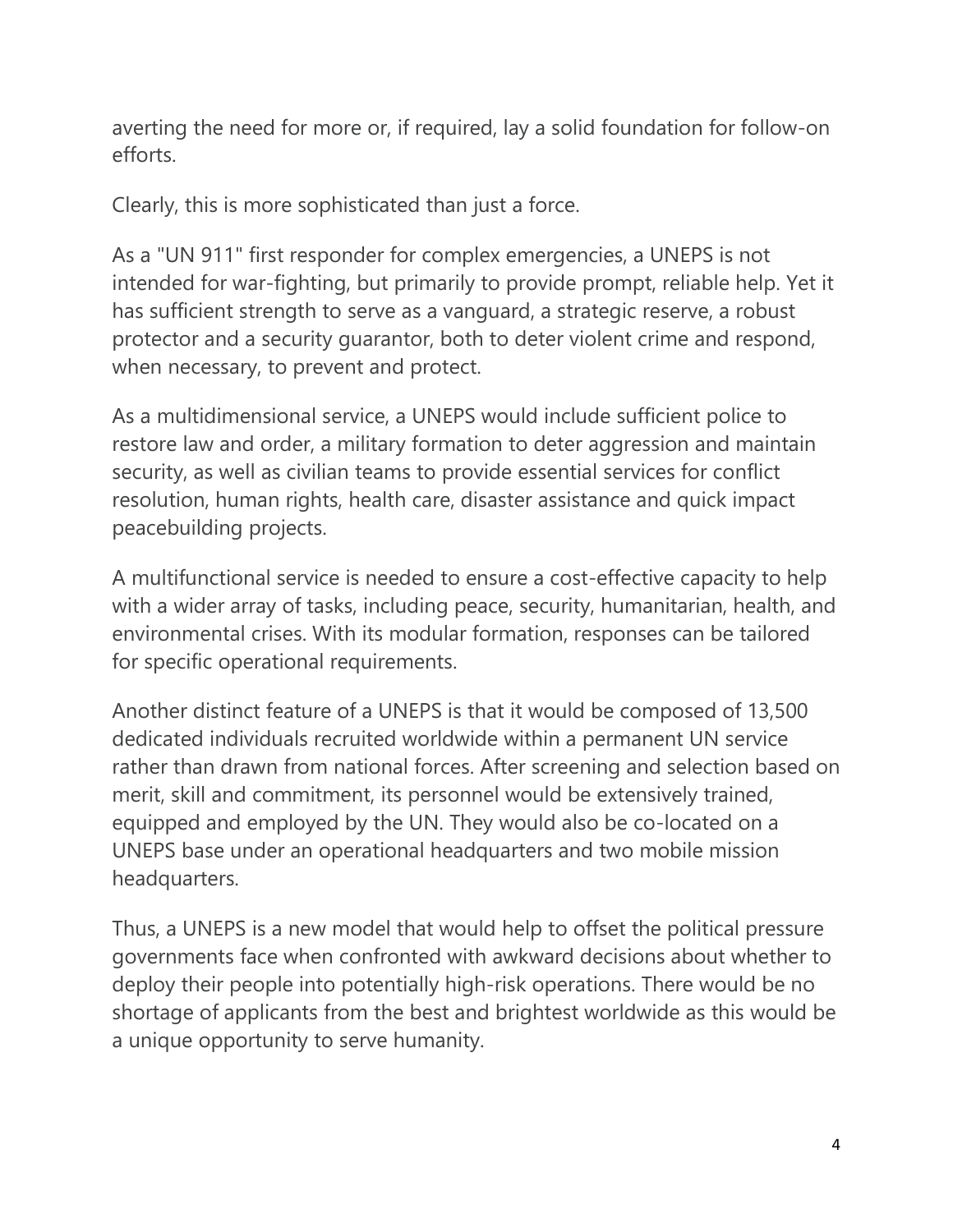averting the need for more or, if required, lay a solid foundation for follow-on efforts.

Clearly, this is more sophisticated than just a force.

As a "UN 911" first responder for complex emergencies, a UNEPS is not intended for war-fighting, but primarily to provide prompt, reliable help. Yet it has sufficient strength to serve as a vanguard, a strategic reserve, a robust protector and a security guarantor, both to deter violent crime and respond, when necessary, to prevent and protect.

As a multidimensional service, a UNEPS would include sufficient police to restore law and order, a military formation to deter aggression and maintain security, as well as civilian teams to provide essential services for conflict resolution, human rights, health care, disaster assistance and quick impact peacebuilding projects.

A multifunctional service is needed to ensure a cost-effective capacity to help with a wider array of tasks, including peace, security, humanitarian, health, and environmental crises. With its modular formation, responses can be tailored for specific operational requirements.

Another distinct feature of a UNEPS is that it would be composed of 13,500 dedicated individuals recruited worldwide within a permanent UN service rather than drawn from national forces. After screening and selection based on merit, skill and commitment, its personnel would be extensively trained, equipped and employed by the UN. They would also be co-located on a UNEPS base under an operational headquarters and two mobile mission headquarters.

Thus, a UNEPS is a new model that would help to offset the political pressure governments face when confronted with awkward decisions about whether to deploy their people into potentially high-risk operations. There would be no shortage of applicants from the best and brightest worldwide as this would be a unique opportunity to serve humanity.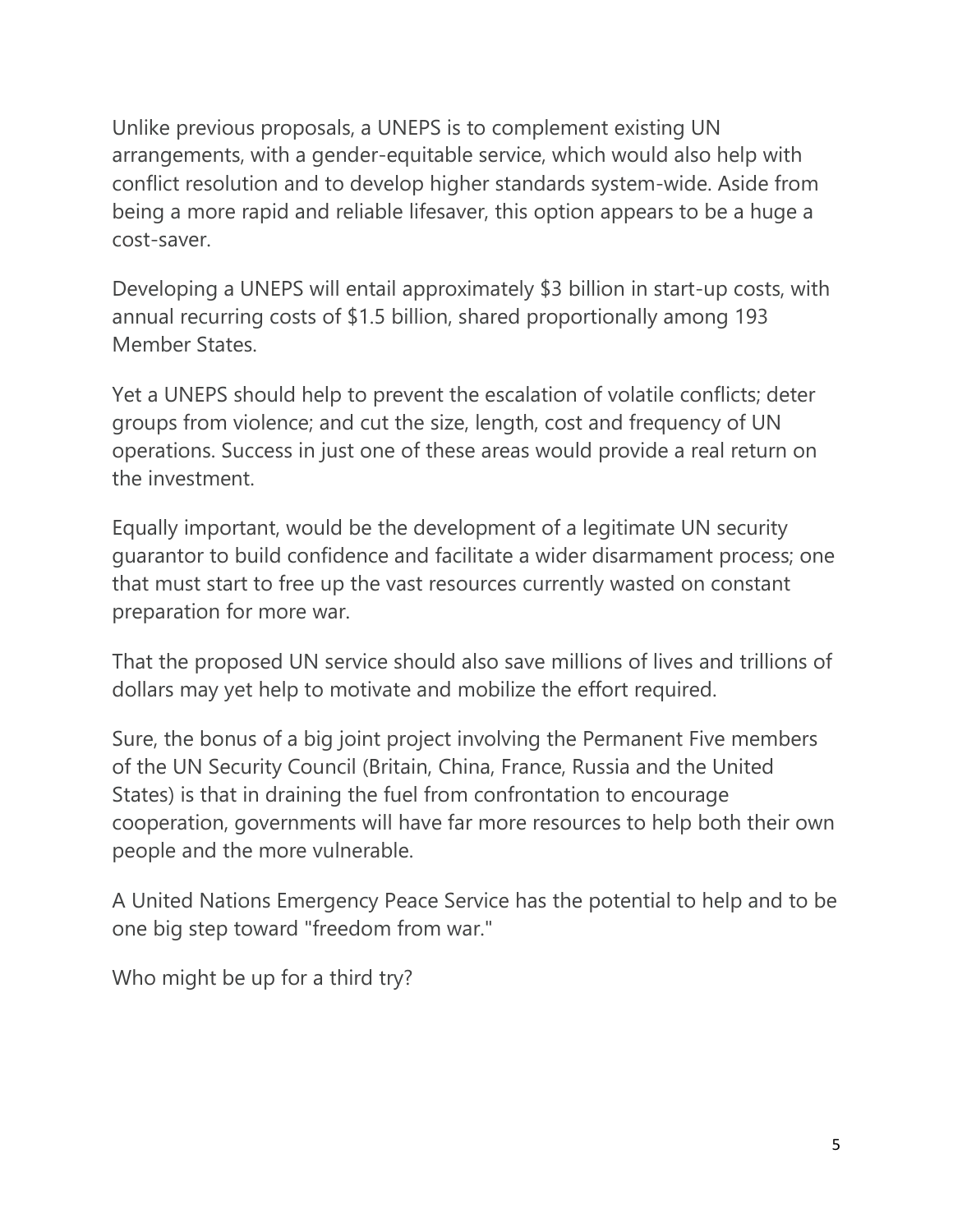Unlike previous proposals, a UNEPS is to complement existing UN arrangements, with a gender-equitable service, which would also help with conflict resolution and to develop higher standards system-wide. Aside from being a more rapid and reliable lifesaver, this option appears to be a huge a cost-saver.

Developing a UNEPS will entail approximately \$3 billion in start-up costs, with annual recurring costs of \$1.5 billion, shared proportionally among 193 Member States.

Yet a UNEPS should help to prevent the escalation of volatile conflicts; deter groups from violence; and cut the size, length, cost and frequency of UN operations. Success in just one of these areas would provide a real return on the investment.

Equally important, would be the development of a legitimate UN security guarantor to build confidence and facilitate a wider disarmament process; one that must start to free up the vast resources currently wasted on constant preparation for more war.

That the proposed UN service should also save millions of lives and trillions of dollars may yet help to motivate and mobilize the effort required.

Sure, the bonus of a big joint project involving the Permanent Five members of the UN Security Council (Britain, China, France, Russia and the United States) is that in draining the fuel from confrontation to encourage cooperation, governments will have far more resources to help both their own people and the more vulnerable.

A United Nations Emergency Peace Service has the potential to help and to be one big step toward "freedom from war."

Who might be up for a third try?